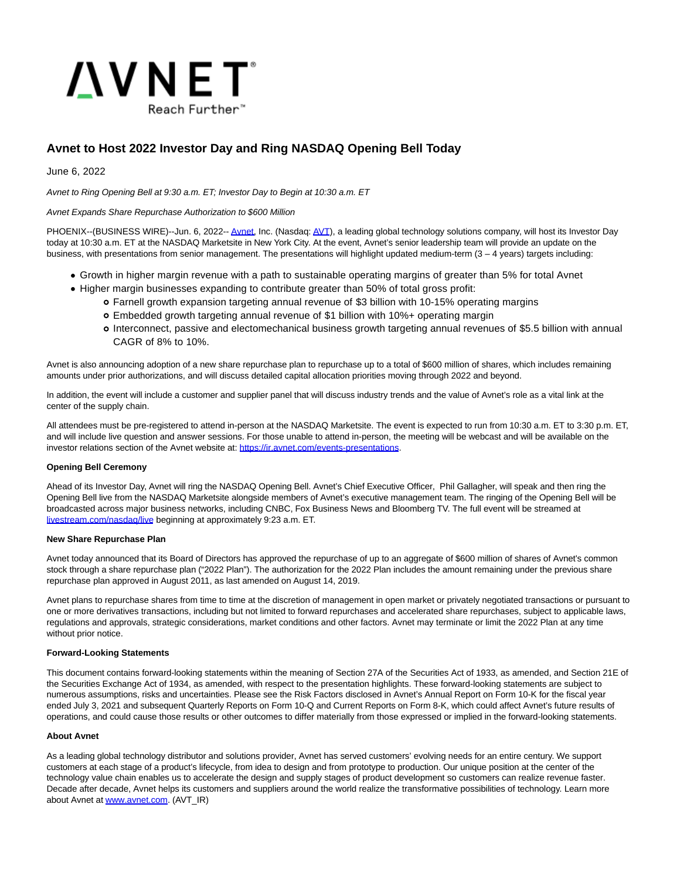

# **Avnet to Host 2022 Investor Day and Ring NASDAQ Opening Bell Today**

June 6, 2022

Avnet to Ring Opening Bell at 9:30 a.m. ET; Investor Day to Begin at 10:30 a.m. ET

## Avnet Expands Share Repurchase Authorization to \$600 Million

PHOENIX--(BUSINESS WIRE)--Jun. 6, 2022-[- Avnet,](https://cts.businesswire.com/ct/CT?id=smartlink&url=http%3A%2F%2Fwww.avnet.com&esheet=52739340&newsitemid=20220606005250&lan=en-US&anchor=Avnet&index=1&md5=4490fd518b4d96754439f60429f21ddb) Inc. (Nasdaq[: AVT\),](https://cts.businesswire.com/ct/CT?id=smartlink&url=https%3A%2F%2Fir.avnet.com%2F&esheet=52739340&newsitemid=20220606005250&lan=en-US&anchor=AVT&index=2&md5=15a565352e4074cbd6722929354067d6) a leading global technology solutions company, will host its Investor Day today at 10:30 a.m. ET at the NASDAQ Marketsite in New York City. At the event, Avnet's senior leadership team will provide an update on the business, with presentations from senior management. The presentations will highlight updated medium-term (3 – 4 years) targets including:

- Growth in higher margin revenue with a path to sustainable operating margins of greater than 5% for total Avnet
- Higher margin businesses expanding to contribute greater than 50% of total gross profit:
	- Farnell growth expansion targeting annual revenue of \$3 billion with 10-15% operating margins
	- Embedded growth targeting annual revenue of \$1 billion with 10%+ operating margin
	- Interconnect, passive and electomechanical business growth targeting annual revenues of \$5.5 billion with annual CAGR of 8% to 10%.

Avnet is also announcing adoption of a new share repurchase plan to repurchase up to a total of \$600 million of shares, which includes remaining amounts under prior authorizations, and will discuss detailed capital allocation priorities moving through 2022 and beyond.

In addition, the event will include a customer and supplier panel that will discuss industry trends and the value of Avnet's role as a vital link at the center of the supply chain.

All attendees must be pre-registered to attend in-person at the NASDAQ Marketsite. The event is expected to run from 10:30 a.m. ET to 3:30 p.m. ET, and will include live question and answer sessions. For those unable to attend in-person, the meeting will be webcast and will be available on the investor relations section of the Avnet website at: [https://ir.avnet.com/events-presentations.](https://cts.businesswire.com/ct/CT?id=smartlink&url=https%3A%2F%2Fir.avnet.com%2Fevents-presentations&esheet=52739340&newsitemid=20220606005250&lan=en-US&anchor=https%3A%2F%2Fir.avnet.com%2Fevents-presentations&index=3&md5=fcddbc614afd31edc554c44a38dc5a01)

## **Opening Bell Ceremony**

Ahead of its Investor Day, Avnet will ring the NASDAQ Opening Bell. Avnet's Chief Executive Officer, Phil Gallagher, will speak and then ring the Opening Bell live from the NASDAQ Marketsite alongside members of Avnet's executive management team. The ringing of the Opening Bell will be broadcasted across major business networks, including CNBC, Fox Business News and Bloomberg TV. The full event will be streamed at [livestream.com/nasdaq/live b](https://cts.businesswire.com/ct/CT?id=smartlink&url=https%3A%2F%2Fwww.globenewswire.com%2FTracker%3Fdata%3DtfFzE91k_BO58xbWOcubILeDnk5qpbiKCw8VKGqL3zM08kNsOcC1r-TtBk_v7cYPc5BpC3ZwIPPMWOkJuaQuTgbQtMf-wak9WCa7dMfzbHu-XzoxokRoZUnmULMQYqJJ&esheet=52739340&newsitemid=20220606005250&lan=en-US&anchor=livestream.com%2Fnasdaq%2Flive&index=4&md5=e24bd90b26f8b48a9efc35d2d2d6c07f)eginning at approximately 9:23 a.m. ET.

## **New Share Repurchase Plan**

Avnet today announced that its Board of Directors has approved the repurchase of up to an aggregate of \$600 million of shares of Avnet's common stock through a share repurchase plan ("2022 Plan"). The authorization for the 2022 Plan includes the amount remaining under the previous share repurchase plan approved in August 2011, as last amended on August 14, 2019.

Avnet plans to repurchase shares from time to time at the discretion of management in open market or privately negotiated transactions or pursuant to one or more derivatives transactions, including but not limited to forward repurchases and accelerated share repurchases, subject to applicable laws, regulations and approvals, strategic considerations, market conditions and other factors. Avnet may terminate or limit the 2022 Plan at any time without prior notice.

## **Forward-Looking Statements**

This document contains forward-looking statements within the meaning of Section 27A of the Securities Act of 1933, as amended, and Section 21E of the Securities Exchange Act of 1934, as amended, with respect to the presentation highlights. These forward-looking statements are subject to numerous assumptions, risks and uncertainties. Please see the Risk Factors disclosed in Avnet's Annual Report on Form 10-K for the fiscal year ended July 3, 2021 and subsequent Quarterly Reports on Form 10-Q and Current Reports on Form 8-K, which could affect Avnet's future results of operations, and could cause those results or other outcomes to differ materially from those expressed or implied in the forward-looking statements.

## **About Avnet**

As a leading global technology distributor and solutions provider, Avnet has served customers' evolving needs for an entire century. We support customers at each stage of a product's lifecycle, from idea to design and from prototype to production. Our unique position at the center of the technology value chain enables us to accelerate the design and supply stages of product development so customers can realize revenue faster. Decade after decade, Avnet helps its customers and suppliers around the world realize the transformative possibilities of technology. Learn more about Avnet a[t www.avnet.com.](https://cts.businesswire.com/ct/CT?id=smartlink&url=http%3A%2F%2Fwww.avnet.com&esheet=52739340&newsitemid=20220606005250&lan=en-US&anchor=www.avnet.com&index=5&md5=aa4b46f07825a25bcfcffe69982d8f6b) (AVT\_IR)